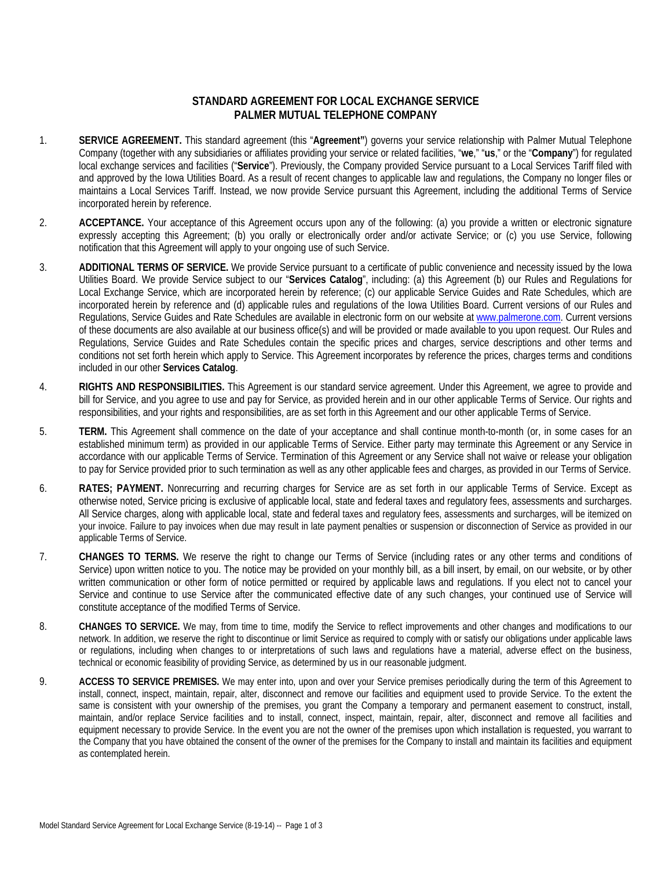## **STANDARD AGREEMENT FOR LOCAL EXCHANGE SERVICE PALMER MUTUAL TELEPHONE COMPANY**

- 1. **SERVICE AGREEMENT.** This standard agreement (this "**Agreement"**) governs your service relationship with Palmer Mutual Telephone Company (together with any subsidiaries or affiliates providing your service or related facilities, "**we**," "**us**," or the "**Company**") for regulated local exchange services and facilities ("**Service**"). Previously, the Company provided Service pursuant to a Local Services Tariff filed with and approved by the Iowa Utilities Board. As a result of recent changes to applicable law and regulations, the Company no longer files or maintains a Local Services Tariff. Instead, we now provide Service pursuant this Agreement, including the additional Terms of Service incorporated herein by reference.
- 2. **ACCEPTANCE.** Your acceptance of this Agreement occurs upon any of the following: (a) you provide a written or electronic signature expressly accepting this Agreement; (b) you orally or electronically order and/or activate Service; or (c) you use Service, following notification that this Agreement will apply to your ongoing use of such Service.
- 3. **ADDITIONAL TERMS OF SERVICE.** We provide Service pursuant to a certificate of public convenience and necessity issued by the Iowa Utilities Board. We provide Service subject to our "**Services Catalog**", including: (a) this Agreement (b) our Rules and Regulations for Local Exchange Service, which are incorporated herein by reference; (c) our applicable Service Guides and Rate Schedules, which are incorporated herein by reference and (d) applicable rules and regulations of the Iowa Utilities Board. Current versions of our Rules and Regulations, Service Guides and Rate Schedules are available in electronic form on our website at www.palmerone.com. Current versions of these documents are also available at our business office(s) and will be provided or made available to you upon request. Our Rules and Regulations, Service Guides and Rate Schedules contain the specific prices and charges, service descriptions and other terms and conditions not set forth herein which apply to Service. This Agreement incorporates by reference the prices, charges terms and conditions included in our other **Services Catalog**.
- 4. **RIGHTS AND RESPONSIBILITIES.** This Agreement is our standard service agreement. Under this Agreement, we agree to provide and bill for Service, and you agree to use and pay for Service, as provided herein and in our other applicable Terms of Service. Our rights and responsibilities, and your rights and responsibilities, are as set forth in this Agreement and our other applicable Terms of Service.
- 5. **TERM.** This Agreement shall commence on the date of your acceptance and shall continue month-to-month (or, in some cases for an established minimum term) as provided in our applicable Terms of Service. Either party may terminate this Agreement or any Service in accordance with our applicable Terms of Service. Termination of this Agreement or any Service shall not waive or release your obligation to pay for Service provided prior to such termination as well as any other applicable fees and charges, as provided in our Terms of Service.
- 6. **RATES; PAYMENT.** Nonrecurring and recurring charges for Service are as set forth in our applicable Terms of Service. Except as otherwise noted, Service pricing is exclusive of applicable local, state and federal taxes and regulatory fees, assessments and surcharges. All Service charges, along with applicable local, state and federal taxes and regulatory fees, assessments and surcharges, will be itemized on your invoice. Failure to pay invoices when due may result in late payment penalties or suspension or disconnection of Service as provided in our applicable Terms of Service.
- 7. **CHANGES TO TERMS.** We reserve the right to change our Terms of Service (including rates or any other terms and conditions of Service) upon written notice to you. The notice may be provided on your monthly bill, as a bill insert, by email, on our website, or by other written communication or other form of notice permitted or required by applicable laws and regulations. If you elect not to cancel your Service and continue to use Service after the communicated effective date of any such changes, your continued use of Service will constitute acceptance of the modified Terms of Service.
- 8. **CHANGES TO SERVICE.** We may, from time to time, modify the Service to reflect improvements and other changes and modifications to our network. In addition, we reserve the right to discontinue or limit Service as required to comply with or satisfy our obligations under applicable laws or regulations, including when changes to or interpretations of such laws and regulations have a material, adverse effect on the business, technical or economic feasibility of providing Service, as determined by us in our reasonable judgment.
- 9. **ACCESS TO SERVICE PREMISES.** We may enter into, upon and over your Service premises periodically during the term of this Agreement to install, connect, inspect, maintain, repair, alter, disconnect and remove our facilities and equipment used to provide Service. To the extent the same is consistent with your ownership of the premises, you grant the Company a temporary and permanent easement to construct, install, maintain, and/or replace Service facilities and to install, connect, inspect, maintain, repair, alter, disconnect and remove all facilities and equipment necessary to provide Service. In the event you are not the owner of the premises upon which installation is requested, you warrant to the Company that you have obtained the consent of the owner of the premises for the Company to install and maintain its facilities and equipment as contemplated herein.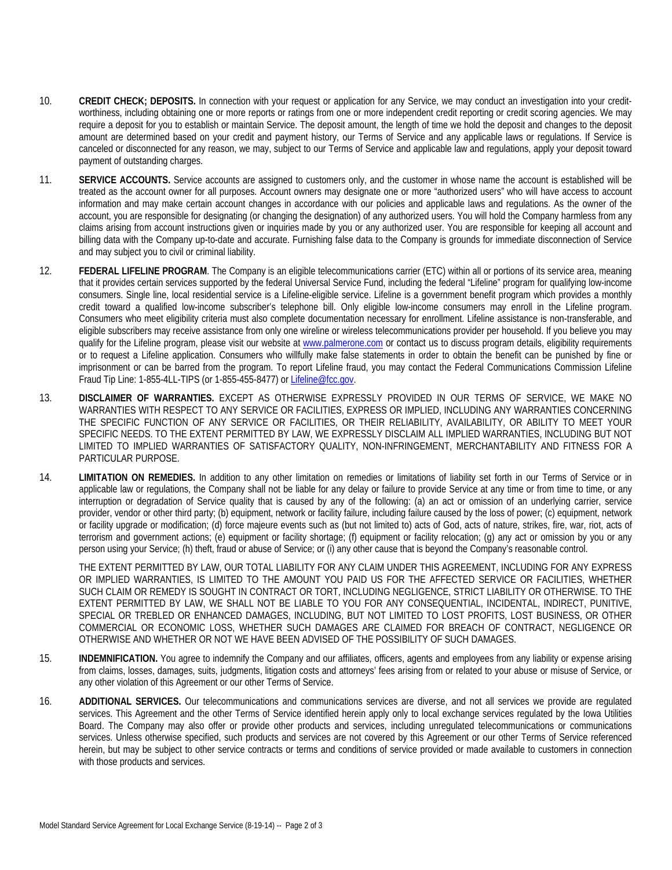- 10. **CREDIT CHECK; DEPOSITS.** In connection with your request or application for any Service, we may conduct an investigation into your creditworthiness, including obtaining one or more reports or ratings from one or more independent credit reporting or credit scoring agencies. We may require a deposit for you to establish or maintain Service. The deposit amount, the length of time we hold the deposit and changes to the deposit amount are determined based on your credit and payment history, our Terms of Service and any applicable laws or regulations. If Service is canceled or disconnected for any reason, we may, subject to our Terms of Service and applicable law and regulations, apply your deposit toward payment of outstanding charges.
- 11. **SERVICE ACCOUNTS.** Service accounts are assigned to customers only, and the customer in whose name the account is established will be treated as the account owner for all purposes. Account owners may designate one or more "authorized users" who will have access to account information and may make certain account changes in accordance with our policies and applicable laws and regulations. As the owner of the account, you are responsible for designating (or changing the designation) of any authorized users. You will hold the Company harmless from any claims arising from account instructions given or inquiries made by you or any authorized user. You are responsible for keeping all account and billing data with the Company up-to-date and accurate. Furnishing false data to the Company is grounds for immediate disconnection of Service and may subject you to civil or criminal liability.
- 12. **FEDERAL LIFELINE PROGRAM**. The Company is an eligible telecommunications carrier (ETC) within all or portions of its service area, meaning that it provides certain services supported by the federal Universal Service Fund, including the federal "Lifeline" program for qualifying low-income consumers. Single line, local residential service is a Lifeline-eligible service. Lifeline is a government benefit program which provides a monthly credit toward a qualified low-income subscriber's telephone bill. Only eligible low-income consumers may enroll in the Lifeline program. Consumers who meet eligibility criteria must also complete documentation necessary for enrollment. Lifeline assistance is non-transferable, and eligible subscribers may receive assistance from only one wireline or wireless telecommunications provider per household. If you believe you may qualify for the Lifeline program, please visit our website at www.palmerone.com or contact us to discuss program details, eligibility requirements or to request a Lifeline application. Consumers who willfully make false statements in order to obtain the benefit can be punished by fine or imprisonment or can be barred from the program. To report Lifeline fraud, you may contact the Federal Communications Commission Lifeline Fraud Tip Line: 1-855-4LL-TIPS (or 1-855-455-8477) or Lifeline@fcc.gov.
- 13. **DISCLAIMER OF WARRANTIES.** EXCEPT AS OTHERWISE EXPRESSLY PROVIDED IN OUR TERMS OF SERVICE, WE MAKE NO WARRANTIES WITH RESPECT TO ANY SERVICE OR FACILITIES, EXPRESS OR IMPLIED, INCLUDING ANY WARRANTIES CONCERNING THE SPECIFIC FUNCTION OF ANY SERVICE OR FACILITIES, OR THEIR RELIABILITY, AVAILABILITY, OR ABILITY TO MEET YOUR SPECIFIC NEEDS. TO THE EXTENT PERMITTED BY LAW, WE EXPRESSLY DISCLAIM ALL IMPLIED WARRANTIES, INCLUDING BUT NOT LIMITED TO IMPLIED WARRANTIES OF SATISFACTORY QUALITY, NON-INFRINGEMENT, MERCHANTABILITY AND FITNESS FOR A PARTICULAR PURPOSE.
- 14. **LIMITATION ON REMEDIES.** In addition to any other limitation on remedies or limitations of liability set forth in our Terms of Service or in applicable law or regulations, the Company shall not be liable for any delay or failure to provide Service at any time or from time to time, or any interruption or degradation of Service quality that is caused by any of the following: (a) an act or omission of an underlying carrier, service provider, vendor or other third party; (b) equipment, network or facility failure, including failure caused by the loss of power; (c) equipment, network or facility upgrade or modification; (d) force majeure events such as (but not limited to) acts of God, acts of nature, strikes, fire, war, riot, acts of terrorism and government actions; (e) equipment or facility shortage; (f) equipment or facility relocation; (g) any act or omission by you or any person using your Service; (h) theft, fraud or abuse of Service; or (i) any other cause that is beyond the Company's reasonable control.

THE EXTENT PERMITTED BY LAW, OUR TOTAL LIABILITY FOR ANY CLAIM UNDER THIS AGREEMENT, INCLUDING FOR ANY EXPRESS OR IMPLIED WARRANTIES, IS LIMITED TO THE AMOUNT YOU PAID US FOR THE AFFECTED SERVICE OR FACILITIES, WHETHER SUCH CLAIM OR REMEDY IS SOUGHT IN CONTRACT OR TORT, INCLUDING NEGLIGENCE, STRICT LIABILITY OR OTHERWISE. TO THE EXTENT PERMITTED BY LAW, WE SHALL NOT BE LIABLE TO YOU FOR ANY CONSEQUENTIAL, INCIDENTAL, INDIRECT, PUNITIVE, SPECIAL OR TREBLED OR ENHANCED DAMAGES, INCLUDING, BUT NOT LIMITED TO LOST PROFITS, LOST BUSINESS, OR OTHER COMMERCIAL OR ECONOMIC LOSS, WHETHER SUCH DAMAGES ARE CLAIMED FOR BREACH OF CONTRACT, NEGLIGENCE OR OTHERWISE AND WHETHER OR NOT WE HAVE BEEN ADVISED OF THE POSSIBILITY OF SUCH DAMAGES.

- 15. **INDEMNIFICATION.** You agree to indemnify the Company and our affiliates, officers, agents and employees from any liability or expense arising from claims, losses, damages, suits, judgments, litigation costs and attorneys' fees arising from or related to your abuse or misuse of Service, or any other violation of this Agreement or our other Terms of Service.
- 16. **ADDITIONAL SERVICES.** Our telecommunications and communications services are diverse, and not all services we provide are regulated services. This Agreement and the other Terms of Service identified herein apply only to local exchange services regulated by the Iowa Utilities Board. The Company may also offer or provide other products and services, including unregulated telecommunications or communications services. Unless otherwise specified, such products and services are not covered by this Agreement or our other Terms of Service referenced herein, but may be subject to other service contracts or terms and conditions of service provided or made available to customers in connection with those products and services.